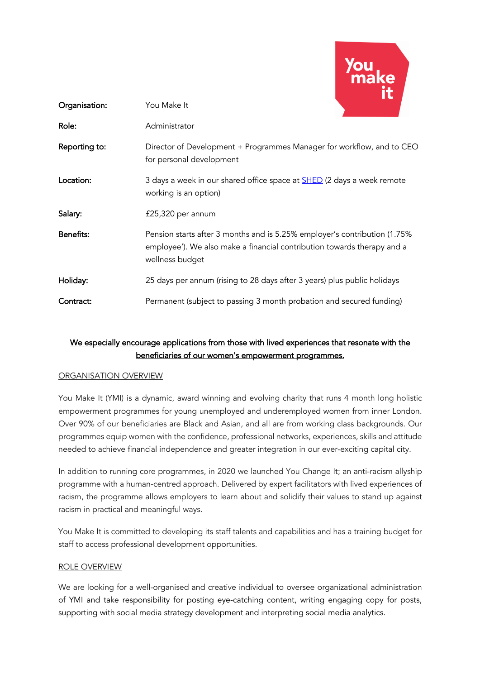

| Organisation:    | You Make It                                                                                                                                                             |
|------------------|-------------------------------------------------------------------------------------------------------------------------------------------------------------------------|
| Role:            | Administrator                                                                                                                                                           |
| Reporting to:    | Director of Development + Programmes Manager for workflow, and to CEO<br>for personal development                                                                       |
| Location:        | 3 days a week in our shared office space at <b>SHED</b> (2 days a week remote<br>working is an option)                                                                  |
| Salary:          | £25,320 per annum                                                                                                                                                       |
| <b>Benefits:</b> | Pension starts after 3 months and is 5.25% employer's contribution (1.75%<br>employee'). We also make a financial contribution towards therapy and a<br>wellness budget |
| Holiday:         | 25 days per annum (rising to 28 days after 3 years) plus public holidays                                                                                                |
| Contract:        | Permanent (subject to passing 3 month probation and secured funding)                                                                                                    |

# We especially encourage applications from those with lived experiences that resonate with the beneficiaries of our women's empowerment programmes.

#### ORGANISATION OVERVIEW

You Make It (YMI) is a dynamic, award winning and evolving charity that runs 4 month long holistic empowerment programmes for young unemployed and underemployed women from inner London. Over 90% of our beneficiaries are Black and Asian, and all are from working class backgrounds. Our programmes equip women with the confidence, professional networks, experiences, skills and attitude needed to achieve financial independence and greater integration in our ever-exciting capital city.

In addition to running core programmes, in 2020 we launched You Change It; an anti-racism allyship programme with a human-centred approach. Delivered by expert facilitators with lived experiences of racism, the programme allows employers to learn about and solidify their values to stand up against racism in practical and meaningful ways.

You Make It is committed to developing its staff talents and capabilities and has a training budget for staff to access professional development opportunities.

#### ROLE OVERVIEW

We are looking for a well-organised and creative individual to oversee organizational administration of YMI and take responsibility for posting eye-catching content, writing engaging copy for posts, supporting with social media strategy development and interpreting social media analytics.